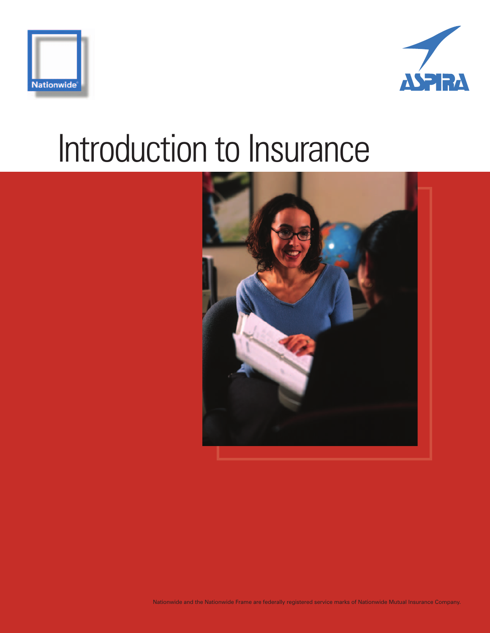



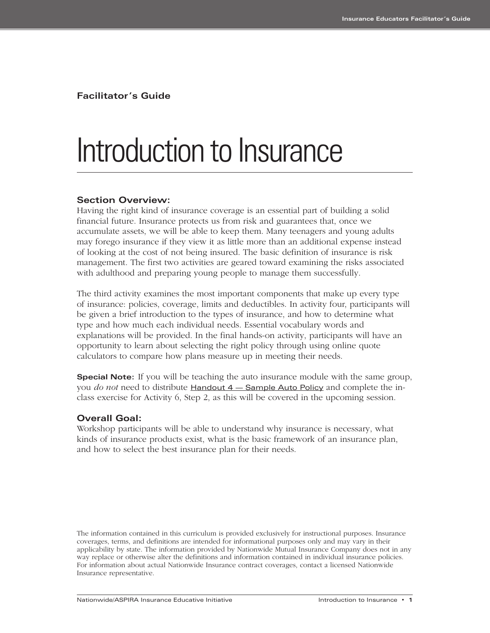**Facilitator's Guide**

### Introduction to Insurance

#### **Section Overview:**

Having the right kind of insurance coverage is an essential part of building a solid financial future. Insurance protects us from risk and guarantees that, once we accumulate assets, we will be able to keep them. Many teenagers and young adults may forego insurance if they view it as little more than an additional expense instead of looking at the cost of not being insured. The basic definition of insurance is risk management. The first two activities are geared toward examining the risks associated with adulthood and preparing young people to manage them successfully.

The third activity examines the most important components that make up every type of insurance: policies, coverage, limits and deductibles. In activity four, participants will be given a brief introduction to the types of insurance, and how to determine what type and how much each individual needs. Essential vocabulary words and explanations will be provided. In the final hands-on activity, participants will have an opportunity to learn about selecting the right policy through using online quote calculators to compare how plans measure up in meeting their needs.

**Special Note:** If you will be teaching the auto insurance module with the same group, you *do not* need to distribute Handout 4 — Sample Auto Policy and complete the inclass exercise for Activity 6, Step 2, as this will be covered in the upcoming session.

#### **Overall Goal:**

Workshop participants will be able to understand why insurance is necessary, what kinds of insurance products exist, what is the basic framework of an insurance plan, and how to select the best insurance plan for their needs.

The information contained in this curriculum is provided exclusively for instructional purposes. Insurance coverages, terms, and definitions are intended for informational purposes only and may vary in their applicability by state. The information provided by Nationwide Mutual Insurance Company does not in any way replace or otherwise alter the definitions and information contained in individual insurance policies. For information about actual Nationwide Insurance contract coverages, contact a licensed Nationwide Insurance representative.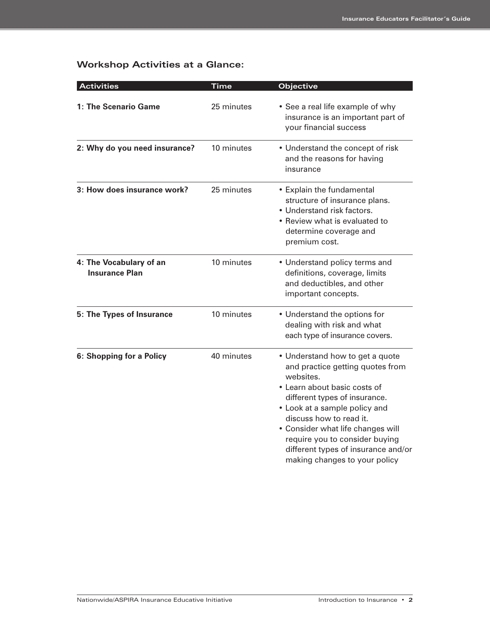#### **Workshop Activities at a Glance:**

| <b>Activities</b>                                | <b>Time</b> | Objective                                                                                                                                                                                                                                                                                                                                                    |
|--------------------------------------------------|-------------|--------------------------------------------------------------------------------------------------------------------------------------------------------------------------------------------------------------------------------------------------------------------------------------------------------------------------------------------------------------|
| 1: The Scenario Game                             | 25 minutes  | • See a real life example of why<br>insurance is an important part of<br>your financial success                                                                                                                                                                                                                                                              |
| 2: Why do you need insurance?                    | 10 minutes  | • Understand the concept of risk<br>and the reasons for having<br>insurance                                                                                                                                                                                                                                                                                  |
| 3: How does insurance work?                      | 25 minutes  | • Explain the fundamental<br>structure of insurance plans.<br>• Understand risk factors.<br>• Review what is evaluated to<br>determine coverage and<br>premium cost.                                                                                                                                                                                         |
| 4: The Vocabulary of an<br><b>Insurance Plan</b> | 10 minutes  | • Understand policy terms and<br>definitions, coverage, limits<br>and deductibles, and other<br>important concepts.                                                                                                                                                                                                                                          |
| 5: The Types of Insurance                        | 10 minutes  | • Understand the options for<br>dealing with risk and what<br>each type of insurance covers.                                                                                                                                                                                                                                                                 |
| 6: Shopping for a Policy                         | 40 minutes  | • Understand how to get a quote<br>and practice getting quotes from<br>websites.<br>• Learn about basic costs of<br>different types of insurance.<br>• Look at a sample policy and<br>discuss how to read it.<br>• Consider what life changes will<br>require you to consider buying<br>different types of insurance and/or<br>making changes to your policy |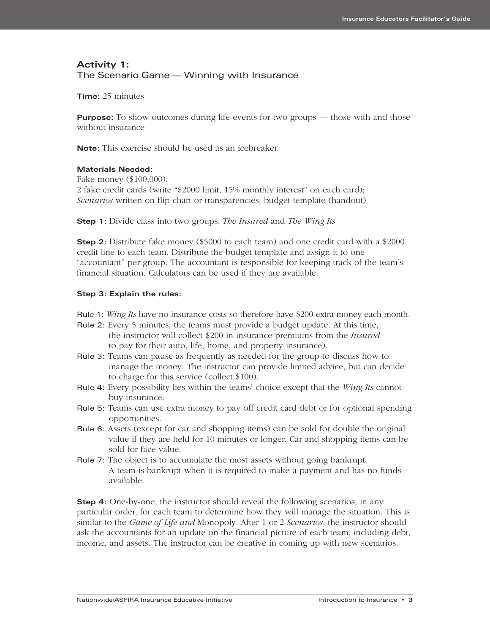#### **Activity 1:**  The Scenario Game — Winning with Insurance

**Time:** 25 minutes

**Purpose:** To show outcomes during life events for two groups — those with and those without insurance

**Note:** This exercise should be used as an icebreaker.

#### **Materials Needed:**

Fake money (\$100,000); 2 fake credit cards (write "\$2000 limit, 15% monthly interest" on each card); *Scenarios* written on flip chart or transparencies; budget template (handout)

**Step 1:** Divide class into two groups: *The Insured* and *The Wing Its*

**Step 2:** Distribute fake money (\$5000 to each team) and one credit card with a \$2000 credit line to each team. Distribute the budget template and assign it to one "accountant" per group. The accountant is responsible for keeping track of the team's financial situation. Calculators can be used if they are available.

#### **Step 3: Explain the rules:**

- Rule 1: *Wing Its* have no insurance costs so therefore have \$200 extra money each month.
- Rule 2: Every 5 minutes, the teams must provide a budget update. At this time, the instructor will collect \$200 in insurance premiums from the *Insured* to pay for their auto, life, home, and property insurance).
- Rule 3: Teams can pause as frequently as needed for the group to discuss how to manage the money. The instructor can provide limited advice, but can decide to charge for this service (collect \$100).
- Rule 4: Every possibility lies within the teams' choice except that the *Wing Its* cannot buy insurance.
- Rule 5: Teams can use extra money to pay off credit card debt or for optional spending opportunities.
- Rule 6: Assets (except for car and shopping items) can be sold for double the original value if they are held for 10 minutes or longer. Car and shopping items can be sold for face value.
- Rule 7: The object is to accumulate the most assets without going bankrupt. A team is bankrupt when it is required to make a payment and has no funds available.

**Step 4:** One-by-one, the instructor should reveal the following scenarios, in any particular order, for each team to determine how they will manage the situation. This is similar to the *Game of Life and* Monopoly*.* After 1 or 2 *Scenarios*, the instructor should ask the accountants for an update on the financial picture of each team, including debt, income, and assets. The instructor can be creative in coming up with new scenarios.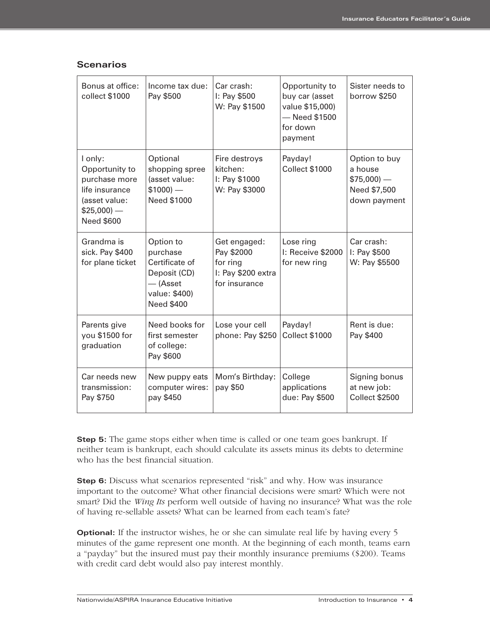|  |  |  | Scenarios |
|--|--|--|-----------|
|  |  |  |           |
|  |  |  |           |

| Bonus at office:<br>collect \$1000                                                                           | Income tax due:<br>Pay \$500                                                                                | Car crash:<br>I: Pay \$500<br>W: Pay \$1500                                   | Opportunity to<br>buy car (asset<br>value \$15,000)<br>- Need \$1500<br>for down<br>payment | Sister needs to<br>borrow \$250                                           |
|--------------------------------------------------------------------------------------------------------------|-------------------------------------------------------------------------------------------------------------|-------------------------------------------------------------------------------|---------------------------------------------------------------------------------------------|---------------------------------------------------------------------------|
| I only:<br>Opportunity to<br>purchase more<br>life insurance<br>(asset value:<br>$$25,000$ ) –<br>Need \$600 | Optional<br>shopping spree<br>(asset value:<br>$$1000$ ) –<br>Need \$1000                                   | Fire destroys<br>kitchen:<br>I: Pay \$1000<br>W: Pay \$3000                   | Payday!<br><b>Collect \$1000</b>                                                            | Option to buy<br>a house<br>$$75,000$ ) –<br>Need \$7,500<br>down payment |
| Grandma is<br>sick. Pay \$400<br>for plane ticket                                                            | Option to<br>purchase<br>Certificate of<br>Deposit (CD)<br>$-$ (Asset<br>value: \$400)<br><b>Need \$400</b> | Get engaged:<br>Pay \$2000<br>for ring<br>I: Pay \$200 extra<br>for insurance | Lose ring<br>I: Receive \$2000<br>for new ring                                              | Car crash:<br>I: Pay \$500<br>W: Pay \$5500                               |
| Parents give<br>you \$1500 for<br>graduation                                                                 | Need books for<br>first semester<br>of college:<br>Pay \$600                                                | Lose your cell<br>phone: Pay \$250                                            | Payday!<br><b>Collect \$1000</b>                                                            | Rent is due:<br>Pay \$400                                                 |
| Car needs new<br>transmission:<br>Pay \$750                                                                  | New puppy eats<br>computer wires:<br>pay \$450                                                              | Mom's Birthday:<br>pay \$50                                                   | College<br>applications<br>due: Pay \$500                                                   | Signing bonus<br>at new job:<br><b>Collect \$2500</b>                     |

**Step 5:** The game stops either when time is called or one team goes bankrupt. If neither team is bankrupt, each should calculate its assets minus its debts to determine who has the best financial situation.

**Step 6:** Discuss what scenarios represented "risk" and why. How was insurance important to the outcome? What other financial decisions were smart? Which were not smart? Did the *Wing Its* perform well outside of having no insurance? What was the role of having re-sellable assets? What can be learned from each team's fate?

**Optional:** If the instructor wishes, he or she can simulate real life by having every 5 minutes of the game represent one month. At the beginning of each month, teams earn a "payday" but the insured must pay their monthly insurance premiums (\$200). Teams with credit card debt would also pay interest monthly.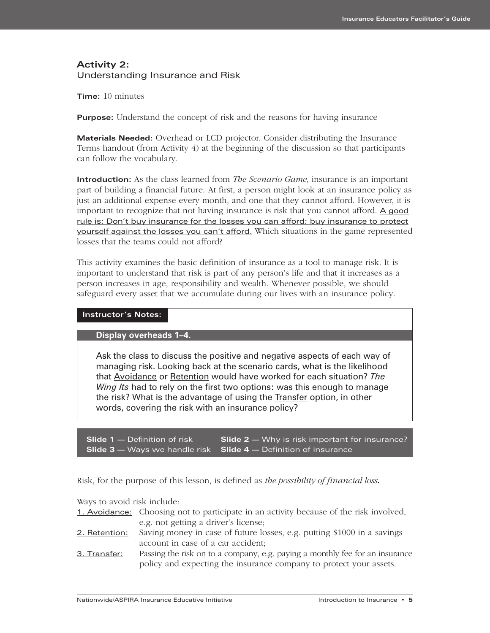#### **Activity 2:** Understanding Insurance and Risk

**Time:** 10 minutes

**Purpose:** Understand the concept of risk and the reasons for having insurance

**Materials Needed:** Overhead or LCD projector. Consider distributing the Insurance Terms handout (from Activity 4) at the beginning of the discussion so that participants can follow the vocabulary.

**Introduction:** As the class learned from *The Scenario Game,* insurance is an important part of building a financial future. At first, a person might look at an insurance policy as just an additional expense every month, and one that they cannot afford. However, it is important to recognize that not having insurance is risk that you cannot afford. A good rule is: Don't buy insurance for the losses you can afford; buy insurance to protect yourself against the losses you can't afford. Which situations in the game represented losses that the teams could not afford?

This activity examines the basic definition of insurance as a tool to manage risk. It is important to understand that risk is part of any person's life and that it increases as a person increases in age, responsibility and wealth. Whenever possible, we should safeguard every asset that we accumulate during our lives with an insurance policy.

#### **Instructor's Notes:**

**Display overheads 1–4.** 

Ask the class to discuss the positive and negative aspects of each way of managing risk. Looking back at the scenario cards, what is the likelihood that Avoidance or Retention would have worked for each situation? *The Wing Its* had to rely on the first two options: was this enough to manage the risk? What is the advantage of using the Transfer option, in other words, covering the risk with an insurance policy?

**Slide 1 –** Definition of risk **Slide 2 –** Why is risk important for insurance? **Slide 3 —** Ways we handle risk **Slide 4 —** Definition of insurance

Risk, for the purpose of this lesson, is defined as *the possibility of financial loss.*

Ways to avoid risk include:

1. Avoidance: Choosing not to participate in an activity because of the risk involved, e.g. not getting a driver's license;

- 2. Retention: Saving money in case of future losses, e.g. putting \$1000 in a savings account in case of a car accident;
- 3. Transfer: Passing the risk on to a company, e.g. paying a monthly fee for an insurance policy and expecting the insurance company to protect your assets.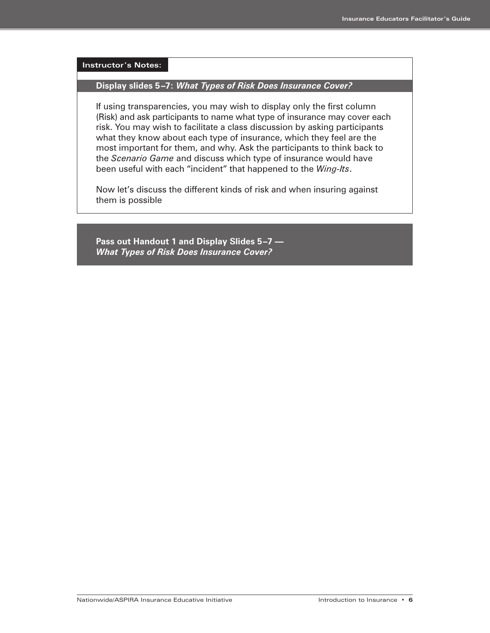**Instructor's Notes: Display slides 5–7:** *What Types of Risk Does Insurance Cover?*  If using transparencies, you may wish to display only the first column (Risk) and ask participants to name what type of insurance may cover each risk. You may wish to facilitate a class discussion by asking participants what they know about each type of insurance, which they feel are the most important for them, and why. Ask the participants to think back to the *Scenario Game* and discuss which type of insurance would have been useful with each "incident" that happened to the *Wing-Its*. Now let's discuss the different kinds of risk and when insuring against them is possible

**Pass out Handout 1 and Display Slides 5–7 —**  *What Types of Risk Does Insurance Cover?*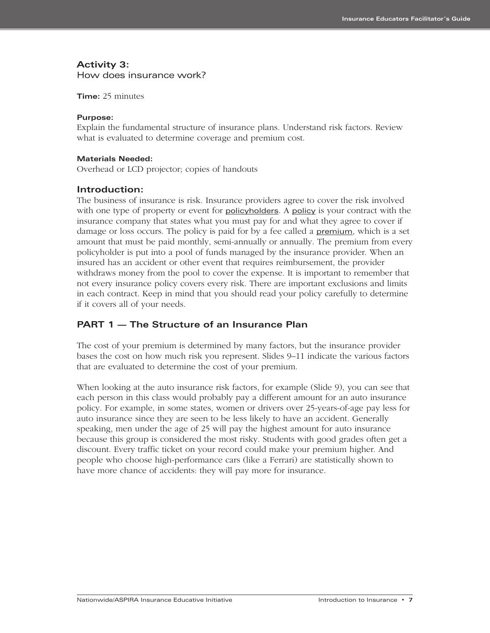#### **Activity 3:**

How does insurance work?

#### **Time:** 25 minutes

#### **Purpose:**

Explain the fundamental structure of insurance plans. Understand risk factors. Review what is evaluated to determine coverage and premium cost.

#### **Materials Needed:**

Overhead or LCD projector; copies of handouts

#### **Introduction:**

The business of insurance is risk. Insurance providers agree to cover the risk involved with one type of property or event for **policyholders**. A policy is your contract with the insurance company that states what you must pay for and what they agree to cover if damage or loss occurs. The policy is paid for by a fee called a **premium**, which is a set amount that must be paid monthly, semi-annually or annually. The premium from every policyholder is put into a pool of funds managed by the insurance provider. When an insured has an accident or other event that requires reimbursement, the provider withdraws money from the pool to cover the expense. It is important to remember that not every insurance policy covers every risk. There are important exclusions and limits in each contract. Keep in mind that you should read your policy carefully to determine if it covers all of your needs.

#### **PART 1 — The Structure of an Insurance Plan**

The cost of your premium is determined by many factors, but the insurance provider bases the cost on how much risk you represent. Slides 9–11 indicate the various factors that are evaluated to determine the cost of your premium.

When looking at the auto insurance risk factors, for example (Slide 9), you can see that each person in this class would probably pay a different amount for an auto insurance policy. For example, in some states, women or drivers over 25-years-of-age pay less for auto insurance since they are seen to be less likely to have an accident. Generally speaking, men under the age of 25 will pay the highest amount for auto insurance because this group is considered the most risky. Students with good grades often get a discount. Every traffic ticket on your record could make your premium higher. And people who choose high-performance cars (like a Ferrari) are statistically shown to have more chance of accidents: they will pay more for insurance.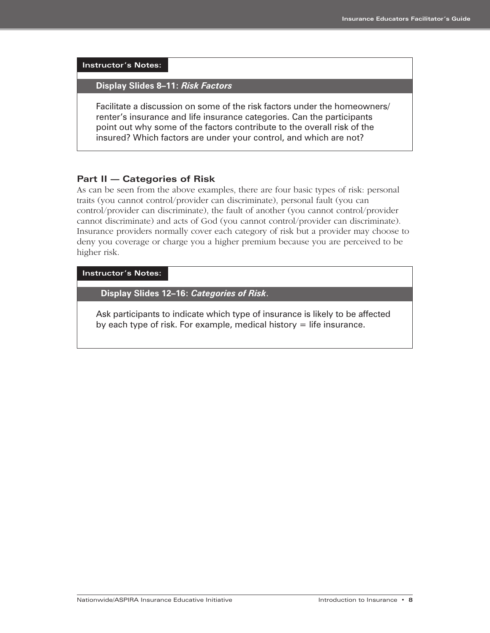**Instructor's Notes:**

**Display Slides 8–11:** *Risk Factors* 

Facilitate a discussion on some of the risk factors under the homeowners/ renter's insurance and life insurance categories. Can the participants point out why some of the factors contribute to the overall risk of the insured? Which factors are under your control, and which are not?

#### **Part II — Categories of Risk**

As can be seen from the above examples, there are four basic types of risk: personal traits (you cannot control/provider can discriminate), personal fault (you can control/provider can discriminate), the fault of another (you cannot control/provider cannot discriminate) and acts of God (you cannot control/provider can discriminate). Insurance providers normally cover each category of risk but a provider may choose to deny you coverage or charge you a higher premium because you are perceived to be higher risk.

**Instructor's Notes:**

**Display Slides 12–16:** *Categories of Risk*.

Ask participants to indicate which type of insurance is likely to be affected by each type of risk. For example, medical history  $=$  life insurance.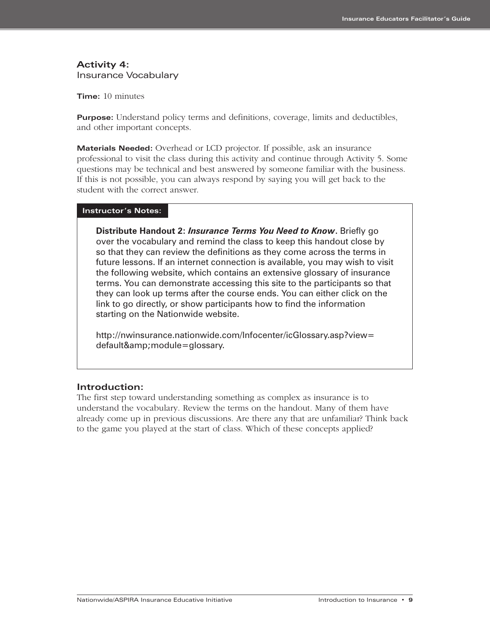#### **Activity 4:**  Insurance Vocabulary

**Time:** 10 minutes

**Purpose:** Understand policy terms and definitions, coverage, limits and deductibles, and other important concepts.

**Materials Needed:** Overhead or LCD projector. If possible, ask an insurance professional to visit the class during this activity and continue through Activity 5. Some questions may be technical and best answered by someone familiar with the business. If this is not possible, you can always respond by saying you will get back to the student with the correct answer.

#### **Instructor's Notes:**

**Distribute Handout 2:** *Insurance Terms You Need to Know***.** Briefly go over the vocabulary and remind the class to keep this handout close by so that they can review the definitions as they come across the terms in future lessons. If an internet connection is available, you may wish to visit the following website, which contains an extensive glossary of insurance terms. You can demonstrate accessing this site to the participants so that they can look up terms after the course ends. You can either click on the link to go directly, or show participants how to find the information starting on the Nationwide website.

http://nwinsurance.nationwide.com/Infocenter/icGlossary.asp?view= default& module=glossary.

#### **Introduction:**

The first step toward understanding something as complex as insurance is to understand the vocabulary. Review the terms on the handout. Many of them have already come up in previous discussions. Are there any that are unfamiliar? Think back to the game you played at the start of class. Which of these concepts applied?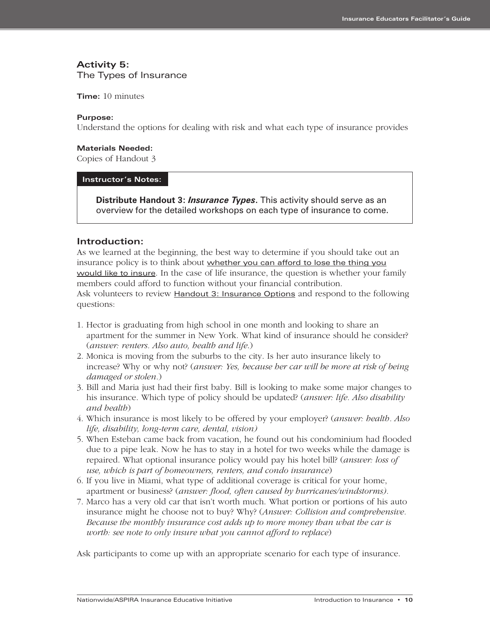#### **Activity 5:**

The Types of Insurance

**Time:** 10 minutes

#### **Purpose:**

Understand the options for dealing with risk and what each type of insurance provides

#### **Materials Needed:**

Copies of Handout 3

#### **Instructor's Notes:**

**Distribute Handout 3:** *Insurance Types***.** This activity should serve as an overview for the detailed workshops on each type of insurance to come.

#### **Introduction:**

As we learned at the beginning, the best way to determine if you should take out an insurance policy is to think about whether you can afford to lose the thing you would like to insure. In the case of life insurance, the question is whether your family members could afford to function without your financial contribution. Ask volunteers to review **Handout 3: Insurance Options** and respond to the following questions:

- 1. Hector is graduating from high school in one month and looking to share an apartment for the summer in New York. What kind of insurance should he consider? (*answer: renters. Also auto, health and life*.)
- 2. Monica is moving from the suburbs to the city. Is her auto insurance likely to increase? Why or why not? (*answer: Yes, because her car will be more at risk of being damaged or stolen.*)
- 3. Bill and Maria just had their first baby. Bill is looking to make some major changes to his insurance. Which type of policy should be updated? (*answer: life. Also disability and health*)
- 4. Which insurance is most likely to be offered by your employer? (*answer: health. Also life, disability, long-term care, dental, vision)*
- 5. When Esteban came back from vacation, he found out his condominium had flooded due to a pipe leak. Now he has to stay in a hotel for two weeks while the damage is repaired. What optional insurance policy would pay his hotel bill? (*answer: loss of use, which is part of homeowners, renters, and condo insurance*)
- 6. If you live in Miami, what type of additional coverage is critical for your home, apartment or business? (*answer: flood, often caused by hurricanes/windstorms).*
- 7. Marco has a very old car that isn't worth much. What portion or portions of his auto insurance might he choose not to buy? Why? (*Answer: Collision and comprehensive. Because the monthly insurance cost adds up to more money than what the car is worth: see note to only insure what you cannot afford to replace*)

Ask participants to come up with an appropriate scenario for each type of insurance.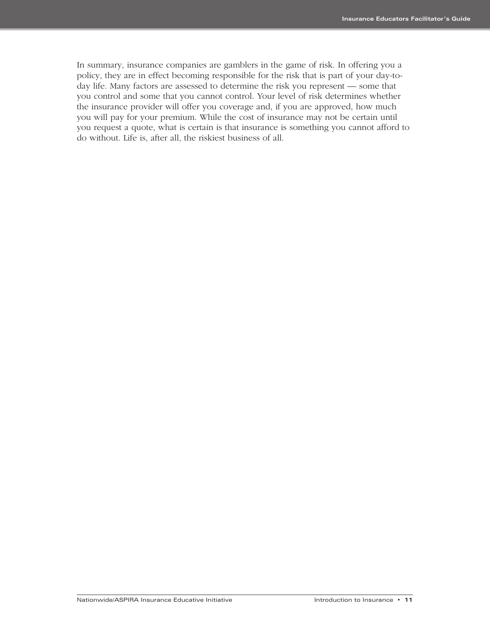In summary, insurance companies are gamblers in the game of risk. In offering you a policy, they are in effect becoming responsible for the risk that is part of your day-today life. Many factors are assessed to determine the risk you represent — some that you control and some that you cannot control. Your level of risk determines whether the insurance provider will offer you coverage and, if you are approved, how much you will pay for your premium. While the cost of insurance may not be certain until you request a quote, what is certain is that insurance is something you cannot afford to do without. Life is, after all, the riskiest business of all.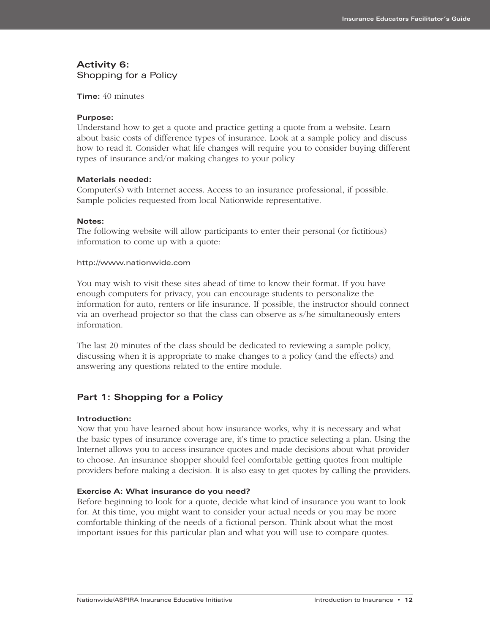### **Activity 6:**

Shopping for a Policy

#### **Time:** 40 minutes

#### **Purpose:**

Understand how to get a quote and practice getting a quote from a website. Learn about basic costs of difference types of insurance. Look at a sample policy and discuss how to read it. Consider what life changes will require you to consider buying different types of insurance and/or making changes to your policy

#### **Materials needed:**

Computer(s) with Internet access. Access to an insurance professional, if possible. Sample policies requested from local Nationwide representative.

#### **Notes:**

The following website will allow participants to enter their personal (or fictitious) information to come up with a quote:

#### http://www.nationwide.com

You may wish to visit these sites ahead of time to know their format. If you have enough computers for privacy, you can encourage students to personalize the information for auto, renters or life insurance. If possible, the instructor should connect via an overhead projector so that the class can observe as s/he simultaneously enters information.

The last 20 minutes of the class should be dedicated to reviewing a sample policy, discussing when it is appropriate to make changes to a policy (and the effects) and answering any questions related to the entire module.

#### **Part 1: Shopping for a Policy**

#### **Introduction:**

Now that you have learned about how insurance works, why it is necessary and what the basic types of insurance coverage are, it's time to practice selecting a plan. Using the Internet allows you to access insurance quotes and made decisions about what provider to choose. An insurance shopper should feel comfortable getting quotes from multiple providers before making a decision. It is also easy to get quotes by calling the providers.

#### **Exercise A: What insurance do you need?**

Before beginning to look for a quote, decide what kind of insurance you want to look for. At this time, you might want to consider your actual needs or you may be more comfortable thinking of the needs of a fictional person. Think about what the most important issues for this particular plan and what you will use to compare quotes.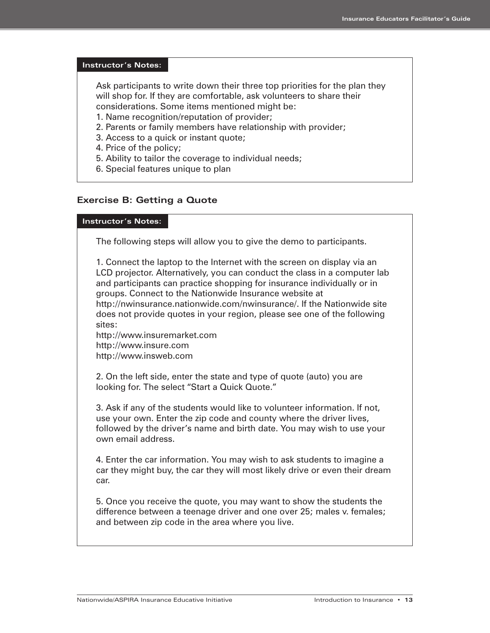#### **Instructor's Notes:**

Ask participants to write down their three top priorities for the plan they will shop for. If they are comfortable, ask volunteers to share their considerations. Some items mentioned might be:

1. Name recognition/reputation of provider;

- 2. Parents or family members have relationship with provider;
- 3. Access to a quick or instant quote;
- 4. Price of the policy;
- 5. Ability to tailor the coverage to individual needs;
- 6. Special features unique to plan

#### **Exercise B: Getting a Quote**

#### **Instructor's Notes:**

The following steps will allow you to give the demo to participants.

1. Connect the laptop to the Internet with the screen on display via an LCD projector. Alternatively, you can conduct the class in a computer lab and participants can practice shopping for insurance individually or in groups. Connect to the Nationwide Insurance website at http://nwinsurance.nationwide.com/nwinsurance/. If the Nationwide site does not provide quotes in your region, please see one of the following sites:

http://www.insuremarket.com http://www.insure.com http://www.insweb.com

2. On the left side, enter the state and type of quote (auto) you are looking for. The select "Start a Quick Quote."

3. Ask if any of the students would like to volunteer information. If not, use your own. Enter the zip code and county where the driver lives, followed by the driver's name and birth date. You may wish to use your own email address.

4. Enter the car information. You may wish to ask students to imagine a car they might buy, the car they will most likely drive or even their dream car.

5. Once you receive the quote, you may want to show the students the difference between a teenage driver and one over 25; males v. females; and between zip code in the area where you live.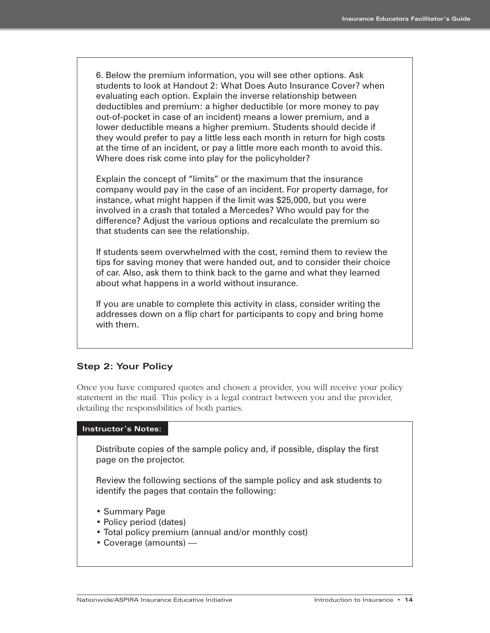6. Below the premium information, you will see other options. Ask students to look at Handout 2: What Does Auto Insurance Cover? when evaluating each option. Explain the inverse relationship between deductibles and premium: a higher deductible (or more money to pay out-of-pocket in case of an incident) means a lower premium, and a lower deductible means a higher premium. Students should decide if they would prefer to pay a little less each month in return for high costs at the time of an incident, or pay a little more each month to avoid this. Where does risk come into play for the policyholder?

Explain the concept of "limits" or the maximum that the insurance company would pay in the case of an incident. For property damage, for instance, what might happen if the limit was \$25,000, but you were involved in a crash that totaled a Mercedes? Who would pay for the difference? Adjust the various options and recalculate the premium so that students can see the relationship.

If students seem overwhelmed with the cost, remind them to review the tips for saving money that were handed out, and to consider their choice of car. Also, ask them to think back to the game and what they learned about what happens in a world without insurance.

If you are unable to complete this activity in class, consider writing the addresses down on a flip chart for participants to copy and bring home with them.

#### **Step 2: Your Policy**

Once you have compared quotes and chosen a provider, you will receive your policy statement in the mail. This policy is a legal contract between you and the provider, detailing the responsibilities of both parties.

#### **Instructor's Notes:**

Distribute copies of the sample policy and, if possible, display the first page on the projector.

Review the following sections of the sample policy and ask students to identify the pages that contain the following:

- Summary Page
- Policy period (dates)
- Total policy premium (annual and/or monthly cost)
- Coverage (amounts) —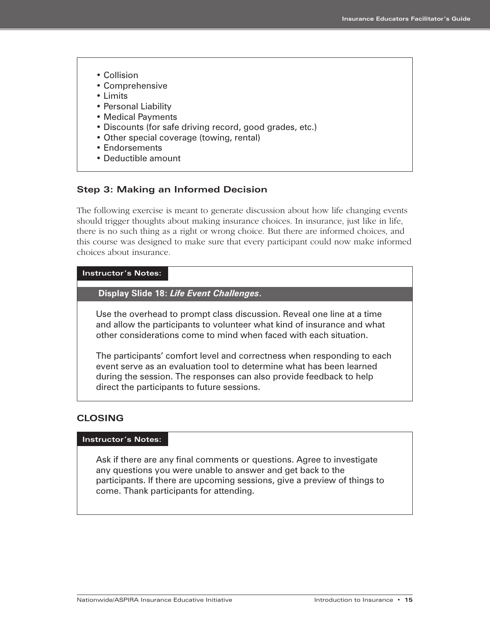- Collision
- Comprehensive
- Limits
- Personal Liability
- Medical Payments
- Discounts (for safe driving record, good grades, etc.)
- Other special coverage (towing, rental)
- Endorsements
- Deductible amount

#### **Step 3: Making an Informed Decision**

The following exercise is meant to generate discussion about how life changing events should trigger thoughts about making insurance choices. In insurance, just like in life, there is no such thing as a right or wrong choice. But there are informed choices, and this course was designed to make sure that every participant could now make informed choices about insurance.

#### **Instructor's Notes:**

**Display Slide 18:** *Life Event Challenges***.**

Use the overhead to prompt class discussion. Reveal one line at a time and allow the participants to volunteer what kind of insurance and what other considerations come to mind when faced with each situation.

The participants' comfort level and correctness when responding to each event serve as an evaluation tool to determine what has been learned during the session. The responses can also provide feedback to help direct the participants to future sessions.

#### **CLOSING**

#### **Instructor's Notes:**

Ask if there are any final comments or questions. Agree to investigate any questions you were unable to answer and get back to the participants. If there are upcoming sessions, give a preview of things to come. Thank participants for attending.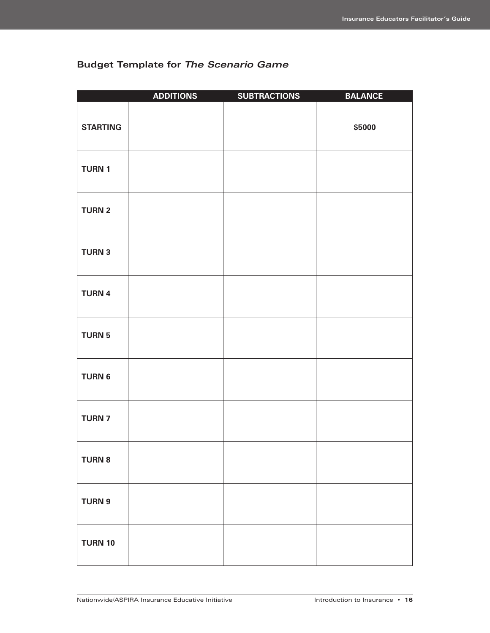|  | <b>Budget Template for The Scenario Game</b> |  |  |  |
|--|----------------------------------------------|--|--|--|
|--|----------------------------------------------|--|--|--|

|                 | <b>ADDITIONS</b> | <b>SUBTRACTIONS</b> | <b>BALANCE</b> |
|-----------------|------------------|---------------------|----------------|
| <b>STARTING</b> |                  |                     | \$5000         |
| <b>TURN 1</b>   |                  |                     |                |
| <b>TURN 2</b>   |                  |                     |                |
| <b>TURN 3</b>   |                  |                     |                |
| <b>TURN 4</b>   |                  |                     |                |
| <b>TURN 5</b>   |                  |                     |                |
| <b>TURN 6</b>   |                  |                     |                |
| <b>TURN 7</b>   |                  |                     |                |
| <b>TURN 8</b>   |                  |                     |                |
| <b>TURN 9</b>   |                  |                     |                |
| <b>TURN 10</b>  |                  |                     |                |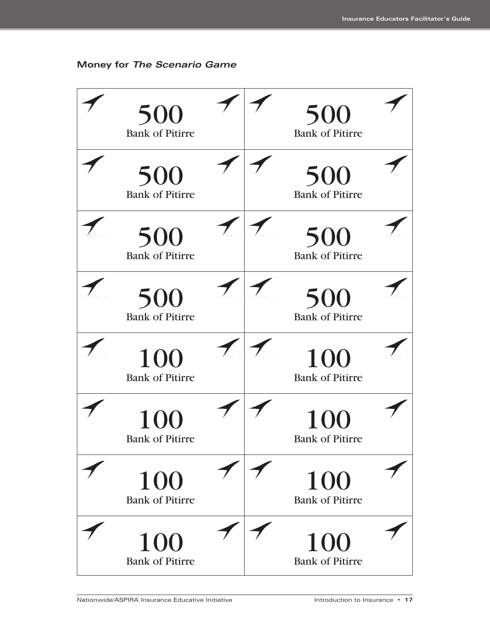

**Money for The Scenario Game**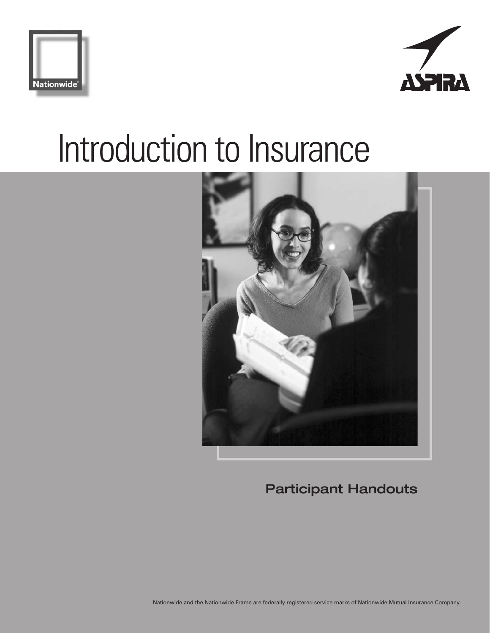





**Participant Handouts**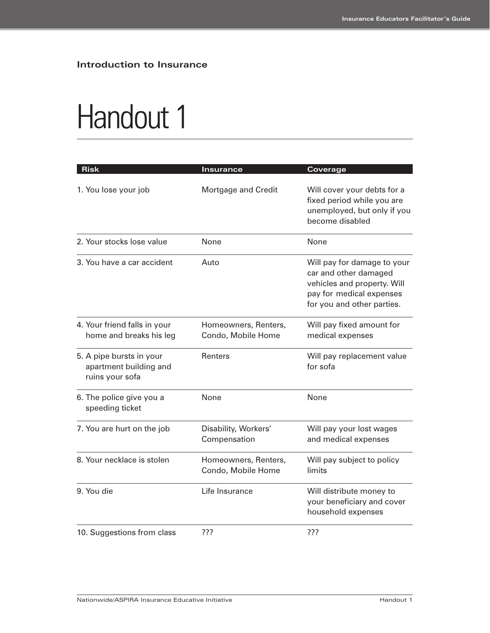## Handout 1

| <b>Risk</b>                                                           | Insurance                                  | Coverage                                                                                                                                      |
|-----------------------------------------------------------------------|--------------------------------------------|-----------------------------------------------------------------------------------------------------------------------------------------------|
| 1. You lose your job                                                  | Mortgage and Credit                        | Will cover your debts for a<br>fixed period while you are<br>unemployed, but only if you<br>become disabled                                   |
| 2. Your stocks lose value                                             | None                                       | None                                                                                                                                          |
| 3. You have a car accident                                            | Auto                                       | Will pay for damage to your<br>car and other damaged<br>vehicles and property. Will<br>pay for medical expenses<br>for you and other parties. |
| 4. Your friend falls in your<br>home and breaks his leg               | Homeowners, Renters,<br>Condo, Mobile Home | Will pay fixed amount for<br>medical expenses                                                                                                 |
| 5. A pipe bursts in your<br>apartment building and<br>ruins your sofa | Renters                                    | Will pay replacement value<br>for sofa                                                                                                        |
| 6. The police give you a<br>speeding ticket                           | None                                       | None                                                                                                                                          |
| 7. You are hurt on the job                                            | Disability, Workers'<br>Compensation       | Will pay your lost wages<br>and medical expenses                                                                                              |
| 8. Your necklace is stolen                                            | Homeowners, Renters,<br>Condo, Mobile Home | Will pay subject to policy<br>limits                                                                                                          |
| 9. You die                                                            | Life Insurance                             | Will distribute money to<br>your beneficiary and cover<br>household expenses                                                                  |
| 10. Suggestions from class                                            | ???                                        | ???                                                                                                                                           |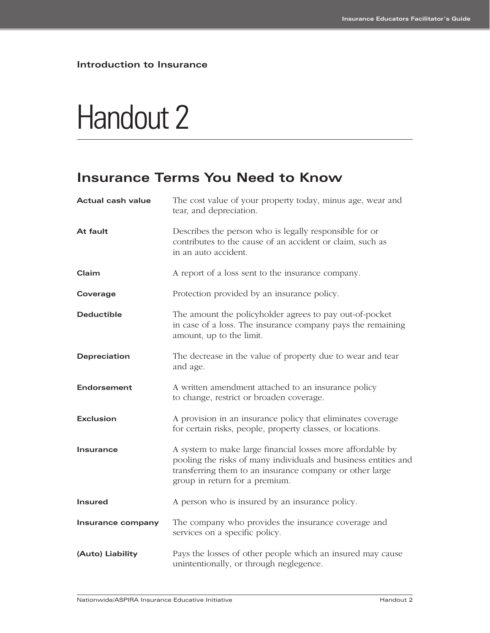## Handout 2

### **Insurance Terms You Need to Know**

| <b>Actual cash value</b> | The cost value of your property today, minus age, wear and<br>tear, and depreciation.                                                                                                                                       |
|--------------------------|-----------------------------------------------------------------------------------------------------------------------------------------------------------------------------------------------------------------------------|
| At fault                 | Describes the person who is legally responsible for or<br>contributes to the cause of an accident or claim, such as<br>in an auto accident.                                                                                 |
| Claim                    | A report of a loss sent to the insurance company.                                                                                                                                                                           |
| Coverage                 | Protection provided by an insurance policy.                                                                                                                                                                                 |
| <b>Deductible</b>        | The amount the policyholder agrees to pay out-of-pocket<br>in case of a loss. The insurance company pays the remaining<br>amount, up to the limit.                                                                          |
| Depreciation             | The decrease in the value of property due to wear and tear<br>and age.                                                                                                                                                      |
| Endorsement              | A written amendment attached to an insurance policy<br>to change, restrict or broaden coverage.                                                                                                                             |
| <b>Exclusion</b>         | A provision in an insurance policy that eliminates coverage<br>for certain risks, people, property classes, or locations.                                                                                                   |
| <b>Insurance</b>         | A system to make large financial losses more affordable by<br>pooling the risks of many individuals and business entities and<br>transferring them to an insurance company or other large<br>group in return for a premium. |
| <b>Insured</b>           | A person who is insured by an insurance policy.                                                                                                                                                                             |
| Insurance company        | The company who provides the insurance coverage and<br>services on a specific policy.                                                                                                                                       |
| (Auto) Liability         | Pays the losses of other people which an insured may cause<br>unintentionally, or through neglegence.                                                                                                                       |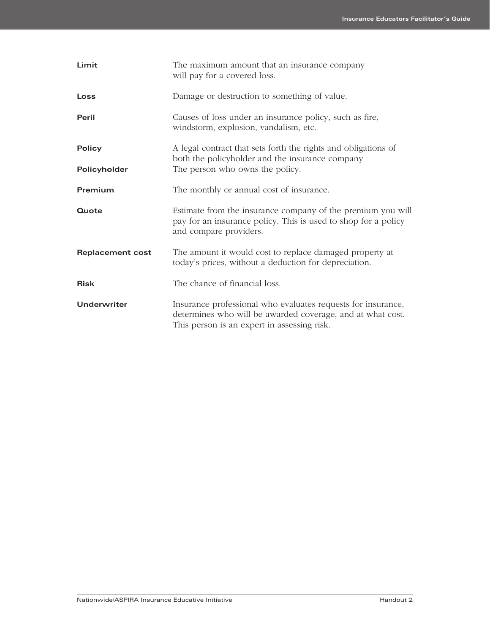| Limit                         | The maximum amount that an insurance company<br>will pay for a covered loss.                                                                                              |
|-------------------------------|---------------------------------------------------------------------------------------------------------------------------------------------------------------------------|
| Loss                          | Damage or destruction to something of value.                                                                                                                              |
| Peril                         | Causes of loss under an insurance policy, such as fire,<br>windstorm, explosion, vandalism, etc.                                                                          |
| <b>Policy</b><br>Policyholder | A legal contract that sets forth the rights and obligations of<br>both the policyholder and the insurance company<br>The person who owns the policy.                      |
| Premium                       | The monthly or annual cost of insurance.                                                                                                                                  |
| Quote                         | Estimate from the insurance company of the premium you will<br>pay for an insurance policy. This is used to shop for a policy<br>and compare providers.                   |
| <b>Replacement cost</b>       | The amount it would cost to replace damaged property at<br>today's prices, without a deduction for depreciation.                                                          |
| <b>Risk</b>                   | The chance of financial loss.                                                                                                                                             |
| Underwriter                   | Insurance professional who evaluates requests for insurance,<br>determines who will be awarded coverage, and at what cost.<br>This person is an expert in assessing risk. |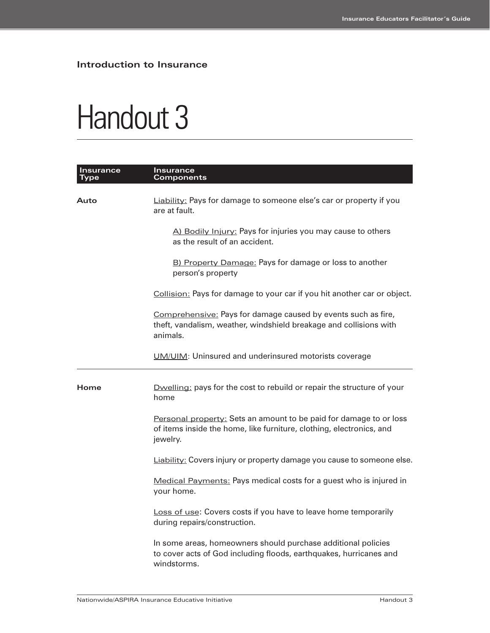## Handout 3

| Insurance<br>Type | <b>Insurance</b><br><b>Components</b>                                                                                                                  |
|-------------------|--------------------------------------------------------------------------------------------------------------------------------------------------------|
| Auto              | <b>Liability:</b> Pays for damage to someone else's car or property if you<br>are at fault.                                                            |
|                   | A) Bodily Injury: Pays for injuries you may cause to others<br>as the result of an accident.                                                           |
|                   | B) Property Damage: Pays for damage or loss to another<br>person's property                                                                            |
|                   | Collision: Pays for damage to your car if you hit another car or object.                                                                               |
|                   | Comprehensive: Pays for damage caused by events such as fire,<br>theft, vandalism, weather, windshield breakage and collisions with<br>animals.        |
|                   | UM/UIM: Uninsured and underinsured motorists coverage                                                                                                  |
| Home              | Dwelling: pays for the cost to rebuild or repair the structure of your<br>home                                                                         |
|                   | Personal property: Sets an amount to be paid for damage to or loss<br>of items inside the home, like furniture, clothing, electronics, and<br>jewelry. |
|                   | <b>Liability:</b> Covers injury or property damage you cause to someone else.                                                                          |
|                   | Medical Payments: Pays medical costs for a guest who is injured in<br>your home.                                                                       |
|                   | Loss of use: Covers costs if you have to leave home temporarily<br>during repairs/construction.                                                        |
|                   | In some areas, homeowners should purchase additional policies<br>to cover acts of God including floods, earthquakes, hurricanes and<br>windstorms.     |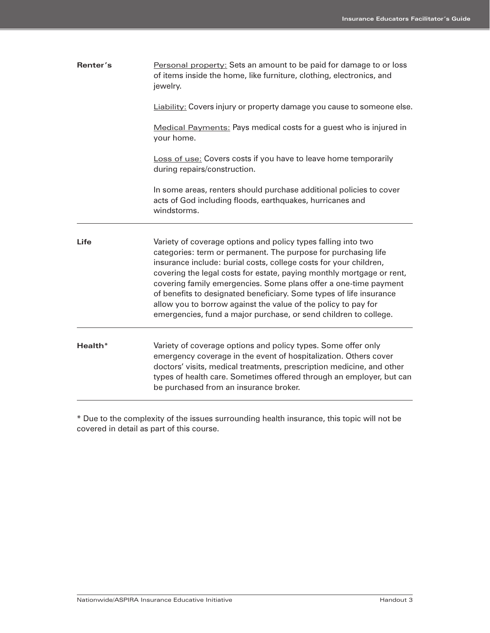| Renter's | Personal property: Sets an amount to be paid for damage to or loss<br>of items inside the home, like furniture, clothing, electronics, and<br>jewelry.                                                                                                                                                                                                                                                                                                                                                                                                         |
|----------|----------------------------------------------------------------------------------------------------------------------------------------------------------------------------------------------------------------------------------------------------------------------------------------------------------------------------------------------------------------------------------------------------------------------------------------------------------------------------------------------------------------------------------------------------------------|
|          | Liability: Covers injury or property damage you cause to someone else.                                                                                                                                                                                                                                                                                                                                                                                                                                                                                         |
|          | Medical Payments: Pays medical costs for a guest who is injured in<br>your home.                                                                                                                                                                                                                                                                                                                                                                                                                                                                               |
|          | Loss of use: Covers costs if you have to leave home temporarily<br>during repairs/construction.                                                                                                                                                                                                                                                                                                                                                                                                                                                                |
|          | In some areas, renters should purchase additional policies to cover<br>acts of God including floods, earthquakes, hurricanes and<br>windstorms.                                                                                                                                                                                                                                                                                                                                                                                                                |
| Life     | Variety of coverage options and policy types falling into two<br>categories: term or permanent. The purpose for purchasing life<br>insurance include: burial costs, college costs for your children,<br>covering the legal costs for estate, paying monthly mortgage or rent,<br>covering family emergencies. Some plans offer a one-time payment<br>of benefits to designated beneficiary. Some types of life insurance<br>allow you to borrow against the value of the policy to pay for<br>emergencies, fund a major purchase, or send children to college. |
| Health*  | Variety of coverage options and policy types. Some offer only<br>emergency coverage in the event of hospitalization. Others cover<br>doctors' visits, medical treatments, prescription medicine, and other<br>types of health care. Sometimes offered through an employer, but can<br>be purchased from an insurance broker.                                                                                                                                                                                                                                   |

\* Due to the complexity of the issues surrounding health insurance, this topic will not be covered in detail as part of this course.